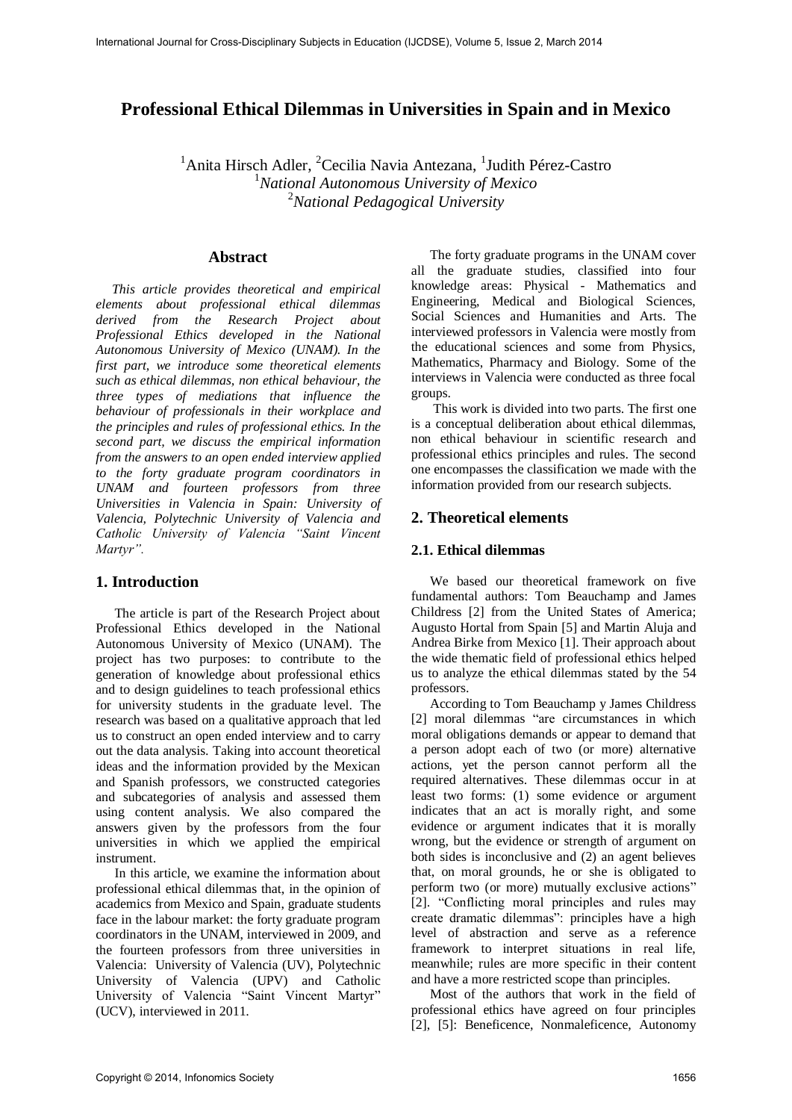# **Professional Ethical Dilemmas in Universities in Spain and in Mexico**

<sup>1</sup>Anita Hirsch Adler, <sup>2</sup>Cecilia Navia Antezana, <sup>1</sup>Judith Pérez-Castro <sup>1</sup>*National Autonomous University of Mexico*  <sup>2</sup>*National Pedagogical University* 

### **Abstract**

*This article provides theoretical and empirical elements about professional ethical dilemmas derived from the Research Project about Professional Ethics developed in the National Autonomous University of Mexico (UNAM). In the first part, we introduce some theoretical elements such as ethical dilemmas, non ethical behaviour, the three types of mediations that influence the behaviour of professionals in their workplace and the principles and rules of professional ethics. In the second part, we discuss the empirical information from the answers to an open ended interview applied to the forty graduate program coordinators in UNAM and fourteen professors from three Universities in Valencia in Spain: University of Valencia, Polytechnic University of Valencia and Catholic University of Valencia "Saint Vincent Martyr".* 

### **1. Introduction**

The article is part of the Research Project about Professional Ethics developed in the National Autonomous University of Mexico (UNAM). The project has two purposes: to contribute to the generation of knowledge about professional ethics and to design guidelines to teach professional ethics for university students in the graduate level. The research was based on a qualitative approach that led us to construct an open ended interview and to carry out the data analysis. Taking into account theoretical ideas and the information provided by the Mexican and Spanish professors, we constructed categories and subcategories of analysis and assessed them using content analysis. We also compared the answers given by the professors from the four universities in which we applied the empirical instrument.

In this article, we examine the information about professional ethical dilemmas that, in the opinion of academics from Mexico and Spain, graduate students face in the labour market: the forty graduate program coordinators in the UNAM, interviewed in 2009, and the fourteen professors from three universities in Valencia: University of Valencia (UV), Polytechnic University of Valencia (UPV) and Catholic University of Valencia "Saint Vincent Martyr" (UCV), interviewed in 2011.

The forty graduate programs in the UNAM cover all the graduate studies, classified into four knowledge areas: Physical - Mathematics and Engineering, Medical and Biological Sciences, Social Sciences and Humanities and Arts. The interviewed professors in Valencia were mostly from the educational sciences and some from Physics, Mathematics, Pharmacy and Biology. Some of the interviews in Valencia were conducted as three focal groups.

 This work is divided into two parts. The first one is a conceptual deliberation about ethical dilemmas, non ethical behaviour in scientific research and professional ethics principles and rules. The second one encompasses the classification we made with the information provided from our research subjects.

### **2. Theoretical elements**

### **2.1. Ethical dilemmas**

We based our theoretical framework on five fundamental authors: Tom Beauchamp and James Childress [2] from the United States of America; Augusto Hortal from Spain [5] and Martin Aluja and Andrea Birke from Mexico [1]. Their approach about the wide thematic field of professional ethics helped us to analyze the ethical dilemmas stated by the 54 professors.

According to Tom Beauchamp y James Childress [2] moral dilemmas "are circumstances in which moral obligations demands or appear to demand that a person adopt each of two (or more) alternative actions, yet the person cannot perform all the required alternatives. These dilemmas occur in at least two forms: (1) some evidence or argument indicates that an act is morally right, and some evidence or argument indicates that it is morally wrong, but the evidence or strength of argument on both sides is inconclusive and (2) an agent believes that, on moral grounds, he or she is obligated to perform two (or more) mutually exclusive actions" [2]. "Conflicting moral principles and rules may create dramatic dilemmas": principles have a high level of abstraction and serve as a reference framework to interpret situations in real life, meanwhile; rules are more specific in their content and have a more restricted scope than principles.

Most of the authors that work in the field of professional ethics have agreed on four principles [2], [5]: Beneficence, Nonmaleficence, Autonomy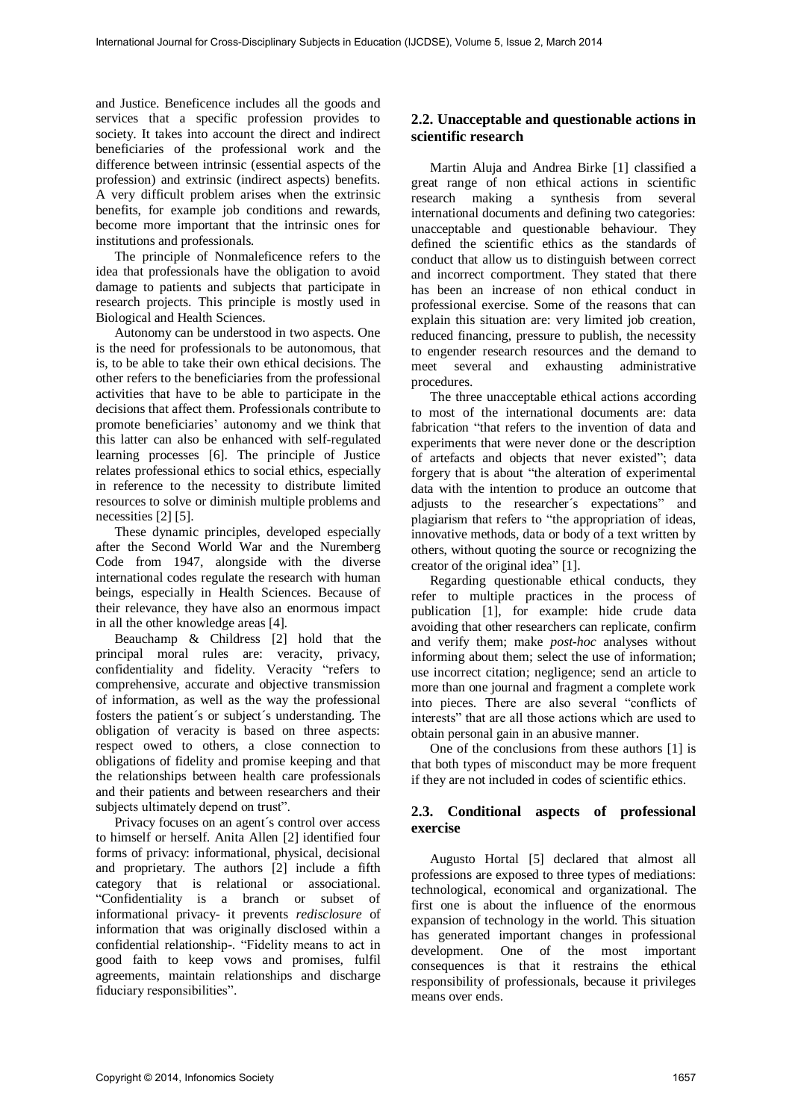and Justice. Beneficence includes all the goods and services that a specific profession provides to society. It takes into account the direct and indirect beneficiaries of the professional work and the difference between intrinsic (essential aspects of the profession) and extrinsic (indirect aspects) benefits. A very difficult problem arises when the extrinsic benefits, for example job conditions and rewards, become more important that the intrinsic ones for institutions and professionals.

The principle of Nonmaleficence refers to the idea that professionals have the obligation to avoid damage to patients and subjects that participate in research projects. This principle is mostly used in Biological and Health Sciences.

Autonomy can be understood in two aspects. One is the need for professionals to be autonomous, that is, to be able to take their own ethical decisions. The other refers to the beneficiaries from the professional activities that have to be able to participate in the decisions that affect them. Professionals contribute to promote beneficiaries' autonomy and we think that this latter can also be enhanced with self-regulated learning processes [6]. The principle of Justice relates professional ethics to social ethics, especially in reference to the necessity to distribute limited resources to solve or diminish multiple problems and necessities [2] [5].

These dynamic principles, developed especially after the Second World War and the Nuremberg Code from 1947, alongside with the diverse international codes regulate the research with human beings, especially in Health Sciences. Because of their relevance, they have also an enormous impact in all the other knowledge areas [4].

Beauchamp & Childress [2] hold that the principal moral rules are: veracity, privacy, confidentiality and fidelity. Veracity "refers to comprehensive, accurate and objective transmission of information, as well as the way the professional fosters the patient´s or subject´s understanding. The obligation of veracity is based on three aspects: respect owed to others, a close connection to obligations of fidelity and promise keeping and that the relationships between health care professionals and their patients and between researchers and their subjects ultimately depend on trust".

Privacy focuses on an agent´s control over access to himself or herself. Anita Allen [2] identified four forms of privacy: informational, physical, decisional and proprietary. The authors [2] include a fifth category that is relational or associational. "Confidentiality is a branch or subset of informational privacy- it prevents *redisclosure* of information that was originally disclosed within a confidential relationship-. "Fidelity means to act in good faith to keep vows and promises, fulfil agreements, maintain relationships and discharge fiduciary responsibilities".

### **2.2. Unacceptable and questionable actions in scientific research**

Martin Aluja and Andrea Birke [1] classified a great range of non ethical actions in scientific research making a synthesis from several international documents and defining two categories: unacceptable and questionable behaviour. They defined the scientific ethics as the standards of conduct that allow us to distinguish between correct and incorrect comportment. They stated that there has been an increase of non ethical conduct in professional exercise. Some of the reasons that can explain this situation are: very limited job creation, reduced financing, pressure to publish, the necessity to engender research resources and the demand to meet several and exhausting administrative procedures.

The three unacceptable ethical actions according to most of the international documents are: data fabrication "that refers to the invention of data and experiments that were never done or the description of artefacts and objects that never existed"; data forgery that is about "the alteration of experimental data with the intention to produce an outcome that adjusts to the researcher´s expectations" and plagiarism that refers to "the appropriation of ideas, innovative methods, data or body of a text written by others, without quoting the source or recognizing the creator of the original idea" [1].

Regarding questionable ethical conducts, they refer to multiple practices in the process of publication [1], for example: hide crude data avoiding that other researchers can replicate, confirm and verify them; make *post-hoc* analyses without informing about them; select the use of information; use incorrect citation; negligence; send an article to more than one journal and fragment a complete work into pieces. There are also several "conflicts of interests" that are all those actions which are used to obtain personal gain in an abusive manner.

One of the conclusions from these authors [1] is that both types of misconduct may be more frequent if they are not included in codes of scientific ethics.

### **2.3. Conditional aspects of professional exercise**

Augusto Hortal [5] declared that almost all professions are exposed to three types of mediations: technological, economical and organizational. The first one is about the influence of the enormous expansion of technology in the world. This situation has generated important changes in professional development. One of the most important consequences is that it restrains the ethical responsibility of professionals, because it privileges means over ends.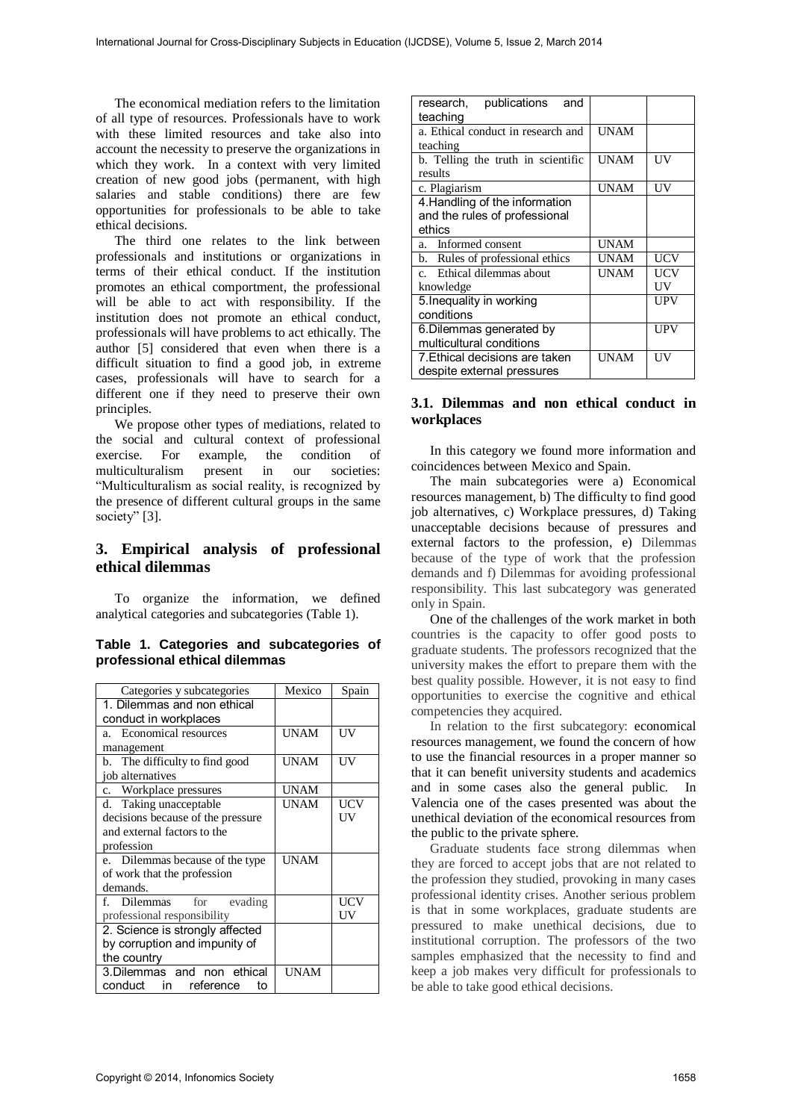The economical mediation refers to the limitation of all type of resources. Professionals have to work with these limited resources and take also into account the necessity to preserve the organizations in which they work. In a context with very limited creation of new good jobs (permanent, with high salaries and stable conditions) there are few opportunities for professionals to be able to take ethical decisions.

The third one relates to the link between professionals and institutions or organizations in terms of their ethical conduct. If the institution promotes an ethical comportment, the professional will be able to act with responsibility. If the institution does not promote an ethical conduct, professionals will have problems to act ethically. The author [5] considered that even when there is a difficult situation to find a good job, in extreme cases, professionals will have to search for a different one if they need to preserve their own principles.

We propose other types of mediations, related to the social and cultural context of professional exercise. For example, the condition of multiculturalism present in our societies: "Multiculturalism as social reality, is recognized by the presence of different cultural groups in the same society" [3].

## **3. Empirical analysis of professional ethical dilemmas**

To organize the information, we defined analytical categories and subcategories (Table 1).

|  |                               | Table 1. Categories and subcategories of |  |
|--|-------------------------------|------------------------------------------|--|
|  | professional ethical dilemmas |                                          |  |

| Categories y subcategories        | Mexico      | Spain |
|-----------------------------------|-------------|-------|
| 1. Dilemmas and non ethical       |             |       |
| conduct in workplaces             |             |       |
| a. Economical resources           | UNAM        | UV    |
| management                        |             |       |
| b. The difficulty to find good    | UNAM        | UV    |
| job alternatives                  |             |       |
| c. Workplace pressures            | <b>UNAM</b> |       |
| d. Taking unacceptable            | <b>UNAM</b> | UCV   |
| decisions because of the pressure |             | UV    |
| and external factors to the       |             |       |
| profession                        |             |       |
| e. Dilemmas because of the type   | <b>UNAM</b> |       |
| of work that the profession       |             |       |
| demands.                          |             |       |
| f. Dilemmas for<br>evading        |             | UCV   |
| professional responsibility       |             | UV    |
| 2. Science is strongly affected   |             |       |
| by corruption and impunity of     |             |       |
| the country                       |             |       |
| 3. Dilemmas and non ethical       | <b>UNAM</b> |       |
| conduct<br>in reference<br>t٥     |             |       |

| research, publications<br>and      |             |     |
|------------------------------------|-------------|-----|
| teaching                           |             |     |
| a. Ethical conduct in research and | <b>UNAM</b> |     |
| teaching                           |             |     |
| b. Telling the truth in scientific | <b>UNAM</b> | UV  |
| results                            |             |     |
| c. Plagiarism                      | <b>UNAM</b> | UV  |
| 4. Handling of the information     |             |     |
| and the rules of professional      |             |     |
| ethics                             |             |     |
| Informed consent<br>a.             | <b>UNAM</b> |     |
| b. Rules of professional ethics    | <b>UNAM</b> | UCV |
| c. Ethical dilemmas about          | <b>UNAM</b> | UCV |
| knowledge                          |             | UV  |
| 5. Inequality in working           |             | UPV |
| conditions                         |             |     |
| 6. Dilemmas generated by           |             | UPV |
| multicultural conditions           |             |     |
| 7. Ethical decisions are taken     | <b>UNAM</b> | UV  |
| despite external pressures         |             |     |

### **3.1. Dilemmas and non ethical conduct in workplaces**

In this category we found more information and coincidences between Mexico and Spain.

The main subcategories were a) Economical resources management, b) The difficulty to find good job alternatives, c) Workplace pressures, d) Taking unacceptable decisions because of pressures and external factors to the profession, e) Dilemmas because of the type of work that the profession demands and f) Dilemmas for avoiding professional responsibility. This last subcategory was generated only in Spain.

One of the challenges of the work market in both countries is the capacity to offer good posts to graduate students. The professors recognized that the university makes the effort to prepare them with the best quality possible. However, it is not easy to find opportunities to exercise the cognitive and ethical competencies they acquired.

In relation to the first subcategory: economical resources management, we found the concern of how to use the financial resources in a proper manner so that it can benefit university students and academics and in some cases also the general public. In Valencia one of the cases presented was about the unethical deviation of the economical resources from the public to the private sphere.

Graduate students face strong dilemmas when they are forced to accept jobs that are not related to the profession they studied, provoking in many cases professional identity crises. Another serious problem is that in some workplaces, graduate students are pressured to make unethical decisions, due to institutional corruption. The professors of the two samples emphasized that the necessity to find and keep a job makes very difficult for professionals to be able to take good ethical decisions.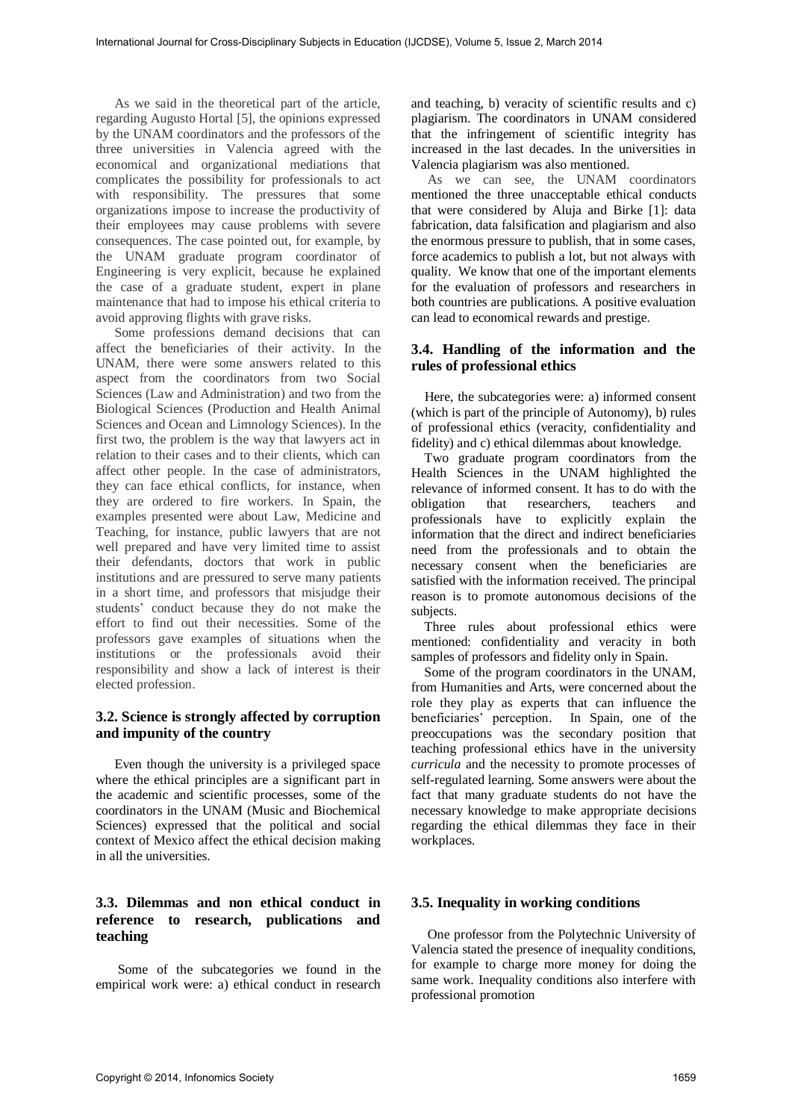As we said in the theoretical part of the article, regarding Augusto Hortal [5], the opinions expressed by the UNAM coordinators and the professors of the three universities in Valencia agreed with the economical and organizational mediations that complicates the possibility for professionals to act with responsibility. The pressures that some organizations impose to increase the productivity of their employees may cause problems with severe consequences. The case pointed out, for example, by the UNAM graduate program coordinator of Engineering is very explicit, because he explained the case of a graduate student, expert in plane maintenance that had to impose his ethical criteria to avoid approving flights with grave risks.

Some professions demand decisions that can affect the beneficiaries of their activity. In the UNAM, there were some answers related to this aspect from the coordinators from two Social Sciences (Law and Administration) and two from the Biological Sciences (Production and Health Animal Sciences and Ocean and Limnology Sciences). In the first two, the problem is the way that lawyers act in relation to their cases and to their clients, which can affect other people. In the case of administrators, they can face ethical conflicts, for instance, when they are ordered to fire workers. In Spain, the examples presented were about Law, Medicine and Teaching, for instance, public lawyers that are not well prepared and have very limited time to assist their defendants, doctors that work in public institutions and are pressured to serve many patients in a short time, and professors that misjudge their students' conduct because they do not make the effort to find out their necessities. Some of the professors gave examples of situations when the institutions or the professionals avoid their responsibility and show a lack of interest is their elected profession.

### **3.2. Science is strongly affected by corruption and impunity of the country**

Even though the university is a privileged space where the ethical principles are a significant part in the academic and scientific processes, some of the coordinators in the UNAM (Music and Biochemical Sciences) expressed that the political and social context of Mexico affect the ethical decision making in all the universities.

### **3.3. Dilemmas and non ethical conduct in reference to research, publications and teaching**

Some of the subcategories we found in the empirical work were: a) ethical conduct in research

and teaching, b) veracity of scientific results and c) plagiarism. The coordinators in UNAM considered that the infringement of scientific integrity has increased in the last decades. In the universities in Valencia plagiarism was also mentioned.

As we can see, the UNAM coordinators mentioned the three unacceptable ethical conducts that were considered by Aluja and Birke [1]: data fabrication, data falsification and plagiarism and also the enormous pressure to publish, that in some cases, force academics to publish a lot, but not always with quality. We know that one of the important elements for the evaluation of professors and researchers in both countries are publications. A positive evaluation can lead to economical rewards and prestige.

### **3.4. Handling of the information and the rules of professional ethics**

 Here, the subcategories were: a) informed consent (which is part of the principle of Autonomy), b) rules of professional ethics (veracity, confidentiality and fidelity) and c) ethical dilemmas about knowledge.

 Two graduate program coordinators from the Health Sciences in the UNAM highlighted the relevance of informed consent. It has to do with the obligation that researchers, teachers and professionals have to explicitly explain the information that the direct and indirect beneficiaries need from the professionals and to obtain the necessary consent when the beneficiaries are satisfied with the information received. The principal reason is to promote autonomous decisions of the subjects.

 Three rules about professional ethics were mentioned: confidentiality and veracity in both samples of professors and fidelity only in Spain.

 Some of the program coordinators in the UNAM, from Humanities and Arts, were concerned about the role they play as experts that can influence the beneficiaries' perception. In Spain, one of the preoccupations was the secondary position that teaching professional ethics have in the university *curricula* and the necessity to promote processes of self-regulated learning. Some answers were about the fact that many graduate students do not have the necessary knowledge to make appropriate decisions regarding the ethical dilemmas they face in their workplaces.

### **3.5. Inequality in working conditions**

 One professor from the Polytechnic University of Valencia stated the presence of inequality conditions, for example to charge more money for doing the same work. Inequality conditions also interfere with professional promotion